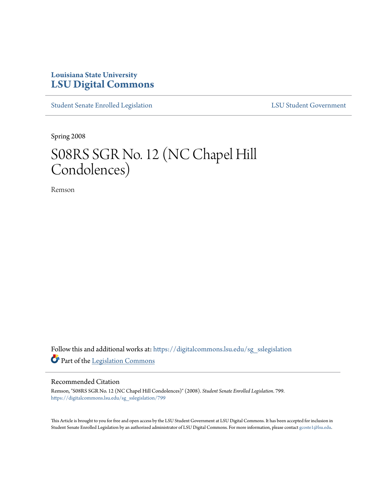## **Louisiana State University [LSU Digital Commons](https://digitalcommons.lsu.edu?utm_source=digitalcommons.lsu.edu%2Fsg_sslegislation%2F799&utm_medium=PDF&utm_campaign=PDFCoverPages)**

[Student Senate Enrolled Legislation](https://digitalcommons.lsu.edu/sg_sslegislation?utm_source=digitalcommons.lsu.edu%2Fsg_sslegislation%2F799&utm_medium=PDF&utm_campaign=PDFCoverPages) [LSU Student Government](https://digitalcommons.lsu.edu/sg?utm_source=digitalcommons.lsu.edu%2Fsg_sslegislation%2F799&utm_medium=PDF&utm_campaign=PDFCoverPages)

Spring 2008

# S08RS SGR No. 12 (NC Chapel Hill Condolences)

Remson

Follow this and additional works at: [https://digitalcommons.lsu.edu/sg\\_sslegislation](https://digitalcommons.lsu.edu/sg_sslegislation?utm_source=digitalcommons.lsu.edu%2Fsg_sslegislation%2F799&utm_medium=PDF&utm_campaign=PDFCoverPages) Part of the [Legislation Commons](http://network.bepress.com/hgg/discipline/859?utm_source=digitalcommons.lsu.edu%2Fsg_sslegislation%2F799&utm_medium=PDF&utm_campaign=PDFCoverPages)

#### Recommended Citation

Remson, "S08RS SGR No. 12 (NC Chapel Hill Condolences)" (2008). *Student Senate Enrolled Legislation*. 799. [https://digitalcommons.lsu.edu/sg\\_sslegislation/799](https://digitalcommons.lsu.edu/sg_sslegislation/799?utm_source=digitalcommons.lsu.edu%2Fsg_sslegislation%2F799&utm_medium=PDF&utm_campaign=PDFCoverPages)

This Article is brought to you for free and open access by the LSU Student Government at LSU Digital Commons. It has been accepted for inclusion in Student Senate Enrolled Legislation by an authorized administrator of LSU Digital Commons. For more information, please contact [gcoste1@lsu.edu.](mailto:gcoste1@lsu.edu)